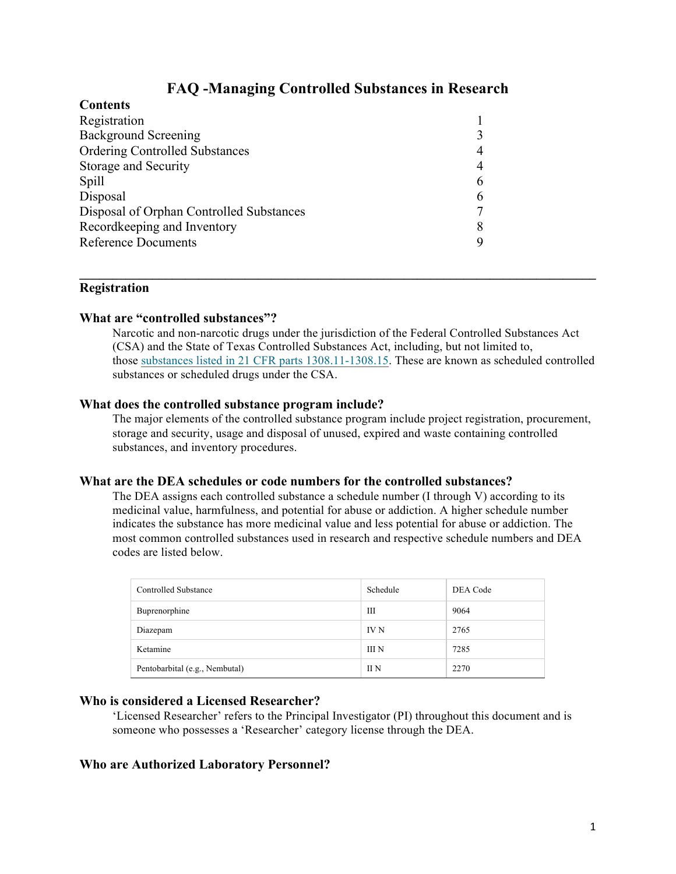# **FAQ -Managing Controlled Substances in Research**

| ************                             |  |
|------------------------------------------|--|
| Registration                             |  |
| <b>Background Screening</b>              |  |
| <b>Ordering Controlled Substances</b>    |  |
| Storage and Security                     |  |
| Spill                                    |  |
| Disposal                                 |  |
| Disposal of Orphan Controlled Substances |  |
| Recordkeeping and Inventory              |  |
| <b>Reference Documents</b>               |  |
|                                          |  |

# **Registration**

Contents

#### **What are "controlled substances"?**

Narcotic and non-narcotic drugs under the jurisdiction of the Federal Controlled Substances Act (CSA) and the State of Texas Controlled Substances Act, including, but not limited to, those substances listed in 21 CFR parts 1308.11-1308.15. These are known as scheduled controlled substances or scheduled drugs under the CSA.

 $\mathcal{L}_\mathcal{L} = \{ \mathcal{L}_\mathcal{L} = \{ \mathcal{L}_\mathcal{L} = \{ \mathcal{L}_\mathcal{L} = \{ \mathcal{L}_\mathcal{L} = \{ \mathcal{L}_\mathcal{L} = \{ \mathcal{L}_\mathcal{L} = \{ \mathcal{L}_\mathcal{L} = \{ \mathcal{L}_\mathcal{L} = \{ \mathcal{L}_\mathcal{L} = \{ \mathcal{L}_\mathcal{L} = \{ \mathcal{L}_\mathcal{L} = \{ \mathcal{L}_\mathcal{L} = \{ \mathcal{L}_\mathcal{L} = \{ \mathcal{L}_\mathcal{$ 

#### **What does the controlled substance program include?**

The major elements of the controlled substance program include project registration, procurement, storage and security, usage and disposal of unused, expired and waste containing controlled substances, and inventory procedures.

#### **What are the DEA schedules or code numbers for the controlled substances?**

The DEA assigns each controlled substance a schedule number (I through V) according to its medicinal value, harmfulness, and potential for abuse or addiction. A higher schedule number indicates the substance has more medicinal value and less potential for abuse or addiction. The most common controlled substances used in research and respective schedule numbers and DEA codes are listed below.

| Controlled Substance           | Schedule    | DEA Code |
|--------------------------------|-------------|----------|
| Buprenorphine                  | Ш           | 9064     |
| Diazepam                       | <b>IV N</b> | 2765     |
| Ketamine                       | III N       | 7285     |
| Pentobarbital (e.g., Nembutal) | II N        | 2270     |

# **Who is considered a Licensed Researcher?**

'Licensed Researcher' refers to the Principal Investigator (PI) throughout this document and is someone who possesses a 'Researcher' category license through the DEA.

# **Who are Authorized Laboratory Personnel?**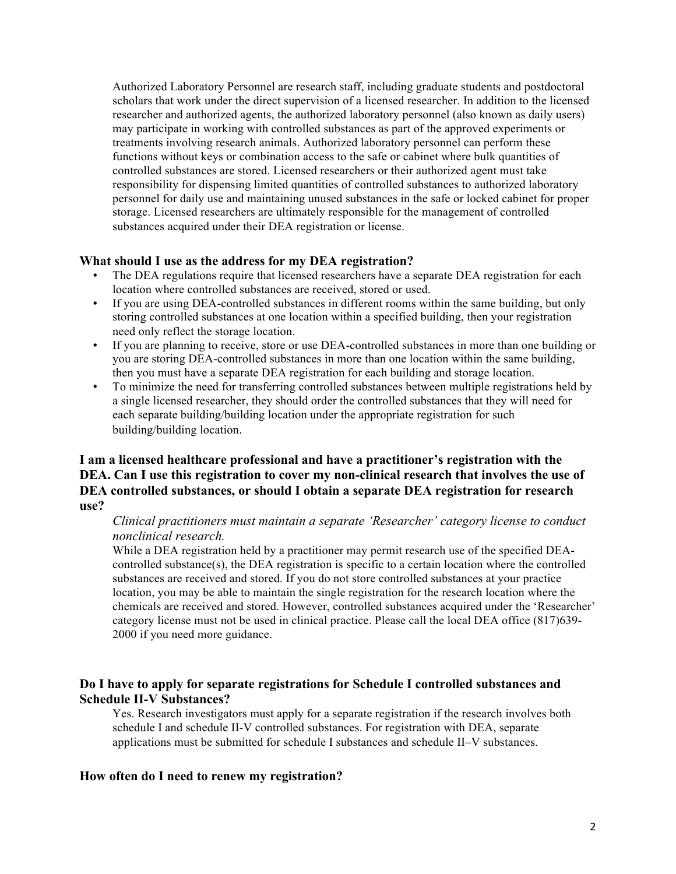Authorized Laboratory Personnel are research staff, including graduate students and postdoctoral scholars that work under the direct supervision of a licensed researcher. In addition to the licensed researcher and authorized agents, the authorized laboratory personnel (also known as daily users) may participate in working with controlled substances as part of the approved experiments or treatments involving research animals. Authorized laboratory personnel can perform these functions without keys or combination access to the safe or cabinet where bulk quantities of controlled substances are stored. Licensed researchers or their authorized agent must take responsibility for dispensing limited quantities of controlled substances to authorized laboratory personnel for daily use and maintaining unused substances in the safe or locked cabinet for proper storage. Licensed researchers are ultimately responsible for the management of controlled substances acquired under their DEA registration or license.

# **What should I use as the address for my DEA registration?**

- The DEA regulations require that licensed researchers have a separate DEA registration for each location where controlled substances are received, stored or used.
- If you are using DEA-controlled substances in different rooms within the same building, but only storing controlled substances at one location within a specified building, then your registration need only reflect the storage location.
- If you are planning to receive, store or use DEA-controlled substances in more than one building or you are storing DEA-controlled substances in more than one location within the same building, then you must have a separate DEA registration for each building and storage location.
- To minimize the need for transferring controlled substances between multiple registrations held by a single licensed researcher, they should order the controlled substances that they will need for each separate building/building location under the appropriate registration for such building/building location.

# **I am a licensed healthcare professional and have a practitioner's registration with the DEA. Can I use this registration to cover my non-clinical research that involves the use of DEA controlled substances, or should I obtain a separate DEA registration for research use?**

#### *Clinical practitioners must maintain a separate 'Researcher' category license to conduct nonclinical research.*

While a DEA registration held by a practitioner may permit research use of the specified DEAcontrolled substance(s), the DEA registration is specific to a certain location where the controlled substances are received and stored. If you do not store controlled substances at your practice location, you may be able to maintain the single registration for the research location where the chemicals are received and stored. However, controlled substances acquired under the 'Researcher' category license must not be used in clinical practice. Please call the local DEA office (817)639- 2000 if you need more guidance.

# **Do I have to apply for separate registrations for Schedule I controlled substances and Schedule II-V Substances?**

Yes. Research investigators must apply for a separate registration if the research involves both schedule I and schedule II-V controlled substances. For registration with DEA, separate applications must be submitted for schedule I substances and schedule II–V substances.

# **How often do I need to renew my registration?**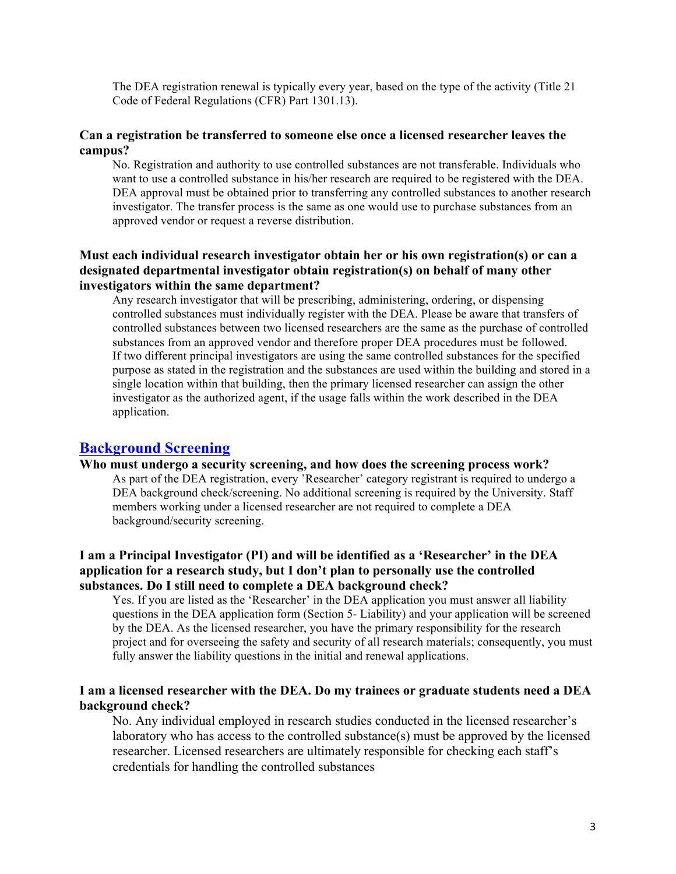The DEA registration renewal is typically every year, based on the type of the activity (Title 21 Code of Federal Regulations (CFR) Part 1301.13).

#### **Can a registration be transferred to someone else once a licensed researcher leaves the campus?**

No. Registration and authority to use controlled substances are not transferable. Individuals who want to use a controlled substance in his/her research are required to be registered with the DEA. DEA approval must be obtained prior to transferring any controlled substances to another research investigator. The transfer process is the same as one would use to purchase substances from an approved vendor or request a reverse distribution.

# **Must each individual research investigator obtain her or his own registration(s) or can a designated departmental investigator obtain registration(s) on behalf of many other investigators within the same department?**

Any research investigator that will be prescribing, administering, ordering, or dispensing controlled substances must individually register with the DEA. Please be aware that transfers of controlled substances between two licensed researchers are the same as the purchase of controlled substances from an approved vendor and therefore proper DEA procedures must be followed. If two different principal investigators are using the same controlled substances for the specified purpose as stated in the registration and the substances are used within the building and stored in a single location within that building, then the primary licensed researcher can assign the other investigator as the authorized agent, if the usage falls within the work described in the DEA application.

# **Background Screening**

#### **Who must undergo a security screening, and how does the screening process work?**

As part of the DEA registration, every 'Researcher' category registrant is required to undergo a DEA background check/screening. No additional screening is required by the University. Staff members working under a licensed researcher are not required to complete a DEA background/security screening.

# **I am a Principal Investigator (PI) and will be identified as a 'Researcher' in the DEA application for a research study, but I don't plan to personally use the controlled substances. Do I still need to complete a DEA background check?**

Yes. If you are listed as the 'Researcher' in the DEA application you must answer all liability questions in the DEA application form (Section 5- Liability) and your application will be screened by the DEA. As the licensed researcher, you have the primary responsibility for the research project and for overseeing the safety and security of all research materials; consequently, you must fully answer the liability questions in the initial and renewal applications.

# **I am a licensed researcher with the DEA. Do my trainees or graduate students need a DEA background check?**

No. Any individual employed in research studies conducted in the licensed researcher's laboratory who has access to the controlled substance(s) must be approved by the licensed researcher. Licensed researchers are ultimately responsible for checking each staff's credentials for handling the controlled substances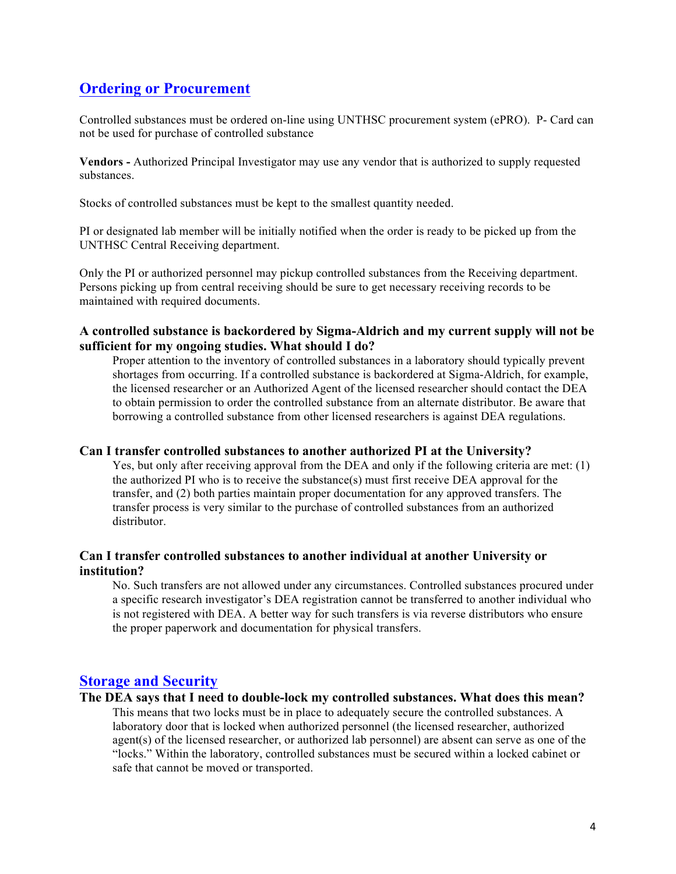# **Ordering or Procurement**

Controlled substances must be ordered on-line using UNTHSC procurement system (ePRO). P- Card can not be used for purchase of controlled substance

**Vendors -** Authorized Principal Investigator may use any vendor that is authorized to supply requested substances.

Stocks of controlled substances must be kept to the smallest quantity needed.

PI or designated lab member will be initially notified when the order is ready to be picked up from the UNTHSC Central Receiving department.

Only the PI or authorized personnel may pickup controlled substances from the Receiving department. Persons picking up from central receiving should be sure to get necessary receiving records to be maintained with required documents.

#### **A controlled substance is backordered by Sigma-Aldrich and my current supply will not be sufficient for my ongoing studies. What should I do?**

Proper attention to the inventory of controlled substances in a laboratory should typically prevent shortages from occurring. If a controlled substance is backordered at Sigma-Aldrich, for example, the licensed researcher or an Authorized Agent of the licensed researcher should contact the DEA to obtain permission to order the controlled substance from an alternate distributor. Be aware that borrowing a controlled substance from other licensed researchers is against DEA regulations.

#### **Can I transfer controlled substances to another authorized PI at the University?**

Yes, but only after receiving approval from the DEA and only if the following criteria are met: (1) the authorized PI who is to receive the substance(s) must first receive DEA approval for the transfer, and (2) both parties maintain proper documentation for any approved transfers. The transfer process is very similar to the purchase of controlled substances from an authorized distributor.

# **Can I transfer controlled substances to another individual at another University or institution?**

No. Such transfers are not allowed under any circumstances. Controlled substances procured under a specific research investigator's DEA registration cannot be transferred to another individual who is not registered with DEA. A better way for such transfers is via reverse distributors who ensure the proper paperwork and documentation for physical transfers.

# **Storage and Security**

#### **The DEA says that I need to double-lock my controlled substances. What does this mean?**

This means that two locks must be in place to adequately secure the controlled substances. A laboratory door that is locked when authorized personnel (the licensed researcher, authorized agent(s) of the licensed researcher, or authorized lab personnel) are absent can serve as one of the "locks." Within the laboratory, controlled substances must be secured within a locked cabinet or safe that cannot be moved or transported.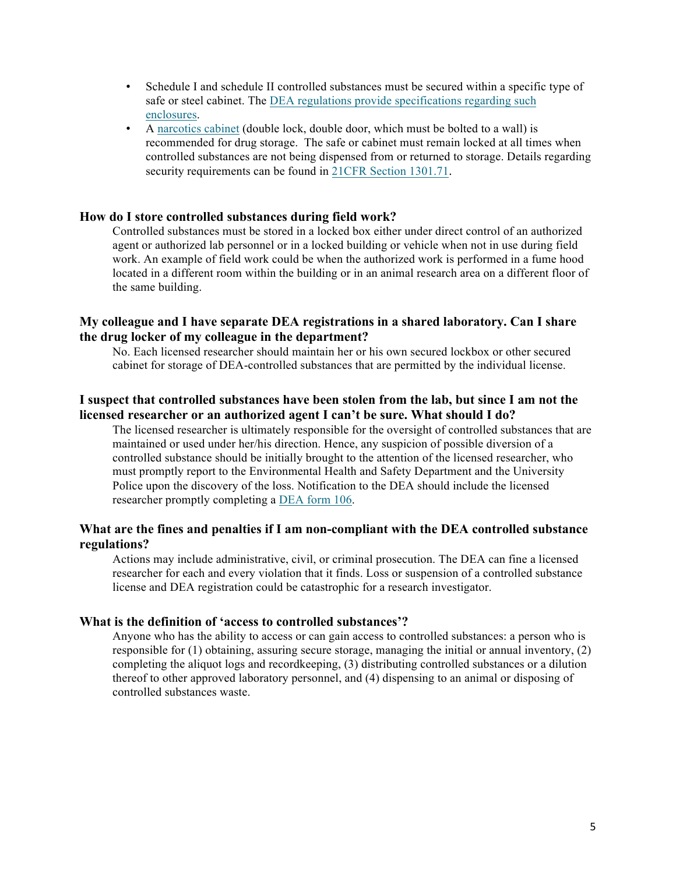- Schedule I and schedule II controlled substances must be secured within a specific type of safe or steel cabinet. The DEA regulations provide specifications regarding such enclosures.
- A narcotics cabinet (double lock, double door, which must be bolted to a wall) is recommended for drug storage. The safe or cabinet must remain locked at all times when controlled substances are not being dispensed from or returned to storage. Details regarding security requirements can be found in 21CFR Section 1301.71.

#### **How do I store controlled substances during field work?**

Controlled substances must be stored in a locked box either under direct control of an authorized agent or authorized lab personnel or in a locked building or vehicle when not in use during field work. An example of field work could be when the authorized work is performed in a fume hood located in a different room within the building or in an animal research area on a different floor of the same building.

### **My colleague and I have separate DEA registrations in a shared laboratory. Can I share the drug locker of my colleague in the department?**

No. Each licensed researcher should maintain her or his own secured lockbox or other secured cabinet for storage of DEA-controlled substances that are permitted by the individual license.

#### **I suspect that controlled substances have been stolen from the lab, but since I am not the licensed researcher or an authorized agent I can't be sure. What should I do?**

The licensed researcher is ultimately responsible for the oversight of controlled substances that are maintained or used under her/his direction. Hence, any suspicion of possible diversion of a controlled substance should be initially brought to the attention of the licensed researcher, who must promptly report to the Environmental Health and Safety Department and the University Police upon the discovery of the loss. Notification to the DEA should include the licensed researcher promptly completing a DEA form 106.

#### **What are the fines and penalties if I am non-compliant with the DEA controlled substance regulations?**

Actions may include administrative, civil, or criminal prosecution. The DEA can fine a licensed researcher for each and every violation that it finds. Loss or suspension of a controlled substance license and DEA registration could be catastrophic for a research investigator.

#### **What is the definition of 'access to controlled substances'?**

Anyone who has the ability to access or can gain access to controlled substances: a person who is responsible for (1) obtaining, assuring secure storage, managing the initial or annual inventory, (2) completing the aliquot logs and recordkeeping, (3) distributing controlled substances or a dilution thereof to other approved laboratory personnel, and (4) dispensing to an animal or disposing of controlled substances waste.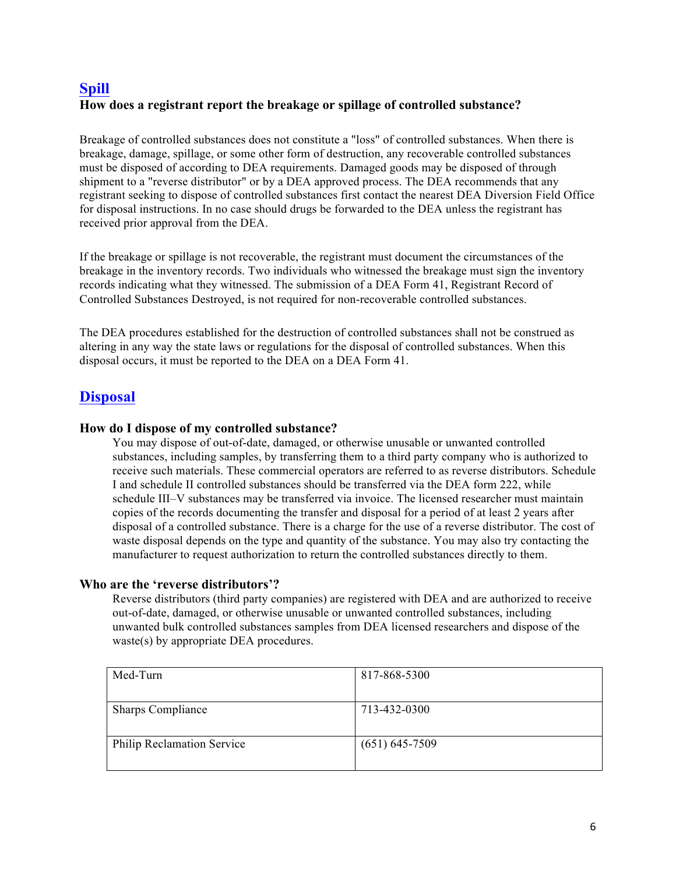# **Spill How does a registrant report the breakage or spillage of controlled substance?**

Breakage of controlled substances does not constitute a "loss" of controlled substances. When there is breakage, damage, spillage, or some other form of destruction, any recoverable controlled substances must be disposed of according to DEA requirements. Damaged goods may be disposed of through shipment to a "reverse distributor" or by a DEA approved process. The DEA recommends that any registrant seeking to dispose of controlled substances first contact the nearest DEA Diversion Field Office for disposal instructions. In no case should drugs be forwarded to the DEA unless the registrant has received prior approval from the DEA.

If the breakage or spillage is not recoverable, the registrant must document the circumstances of the breakage in the inventory records. Two individuals who witnessed the breakage must sign the inventory records indicating what they witnessed. The submission of a DEA Form 41, Registrant Record of Controlled Substances Destroyed, is not required for non-recoverable controlled substances.

The DEA procedures established for the destruction of controlled substances shall not be construed as altering in any way the state laws or regulations for the disposal of controlled substances. When this disposal occurs, it must be reported to the DEA on a DEA Form 41.

# **Disposal**

# **How do I dispose of my controlled substance?**

You may dispose of out-of-date, damaged, or otherwise unusable or unwanted controlled substances, including samples, by transferring them to a third party company who is authorized to receive such materials. These commercial operators are referred to as reverse distributors. Schedule I and schedule II controlled substances should be transferred via the DEA form 222, while schedule III–V substances may be transferred via invoice. The licensed researcher must maintain copies of the records documenting the transfer and disposal for a period of at least 2 years after disposal of a controlled substance. There is a charge for the use of a reverse distributor. The cost of waste disposal depends on the type and quantity of the substance. You may also try contacting the manufacturer to request authorization to return the controlled substances directly to them.

# **Who are the 'reverse distributors'?**

Reverse distributors (third party companies) are registered with DEA and are authorized to receive out-of-date, damaged, or otherwise unusable or unwanted controlled substances, including unwanted bulk controlled substances samples from DEA licensed researchers and dispose of the waste(s) by appropriate DEA procedures.

| Med-Turn                          | 817-868-5300       |
|-----------------------------------|--------------------|
|                                   |                    |
| <b>Sharps Compliance</b>          | 713-432-0300       |
|                                   |                    |
| <b>Philip Reclamation Service</b> | $(651) 645 - 7509$ |
|                                   |                    |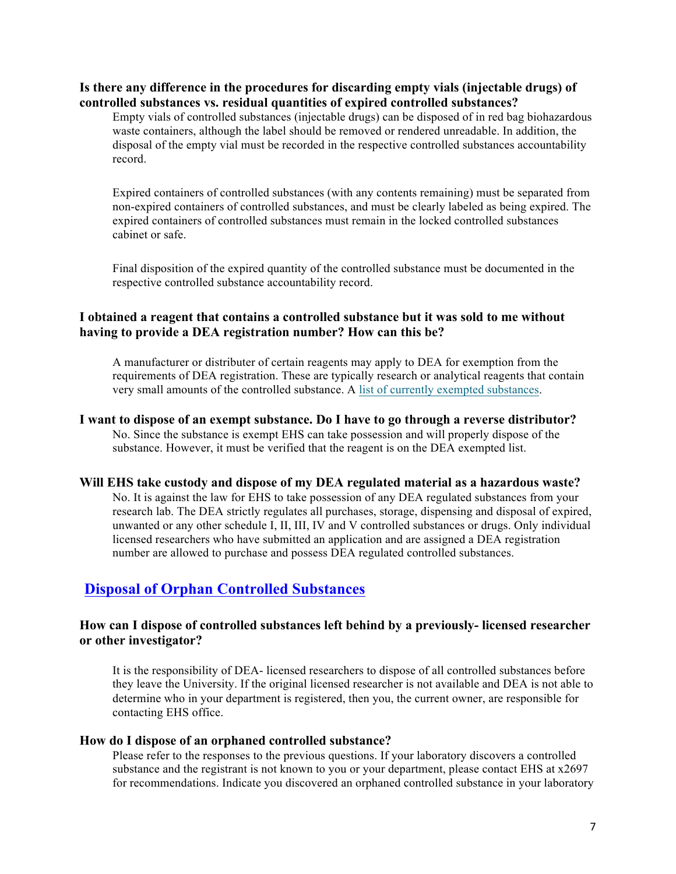#### **Is there any difference in the procedures for discarding empty vials (injectable drugs) of controlled substances vs. residual quantities of expired controlled substances?**

Empty vials of controlled substances (injectable drugs) can be disposed of in red bag biohazardous waste containers, although the label should be removed or rendered unreadable. In addition, the disposal of the empty vial must be recorded in the respective controlled substances accountability record.

Expired containers of controlled substances (with any contents remaining) must be separated from non-expired containers of controlled substances, and must be clearly labeled as being expired. The expired containers of controlled substances must remain in the locked controlled substances cabinet or safe.

Final disposition of the expired quantity of the controlled substance must be documented in the respective controlled substance accountability record.

# **I obtained a reagent that contains a controlled substance but it was sold to me without having to provide a DEA registration number? How can this be?**

A manufacturer or distributer of certain reagents may apply to DEA for exemption from the requirements of DEA registration. These are typically research or analytical reagents that contain very small amounts of the controlled substance. A list of currently exempted substances.

# **I want to dispose of an exempt substance. Do I have to go through a reverse distributor?**

No. Since the substance is exempt EHS can take possession and will properly dispose of the substance. However, it must be verified that the reagent is on the DEA exempted list.

#### **Will EHS take custody and dispose of my DEA regulated material as a hazardous waste?**

No. It is against the law for EHS to take possession of any DEA regulated substances from your research lab. The DEA strictly regulates all purchases, storage, dispensing and disposal of expired, unwanted or any other schedule I, II, III, IV and V controlled substances or drugs. Only individual licensed researchers who have submitted an application and are assigned a DEA registration number are allowed to purchase and possess DEA regulated controlled substances.

# **Disposal of Orphan Controlled Substances**

### **How can I dispose of controlled substances left behind by a previously- licensed researcher or other investigator?**

It is the responsibility of DEA- licensed researchers to dispose of all controlled substances before they leave the University. If the original licensed researcher is not available and DEA is not able to determine who in your department is registered, then you, the current owner, are responsible for contacting EHS office.

#### **How do I dispose of an orphaned controlled substance?**

Please refer to the responses to the previous questions. If your laboratory discovers a controlled substance and the registrant is not known to you or your department, please contact EHS at x2697 for recommendations. Indicate you discovered an orphaned controlled substance in your laboratory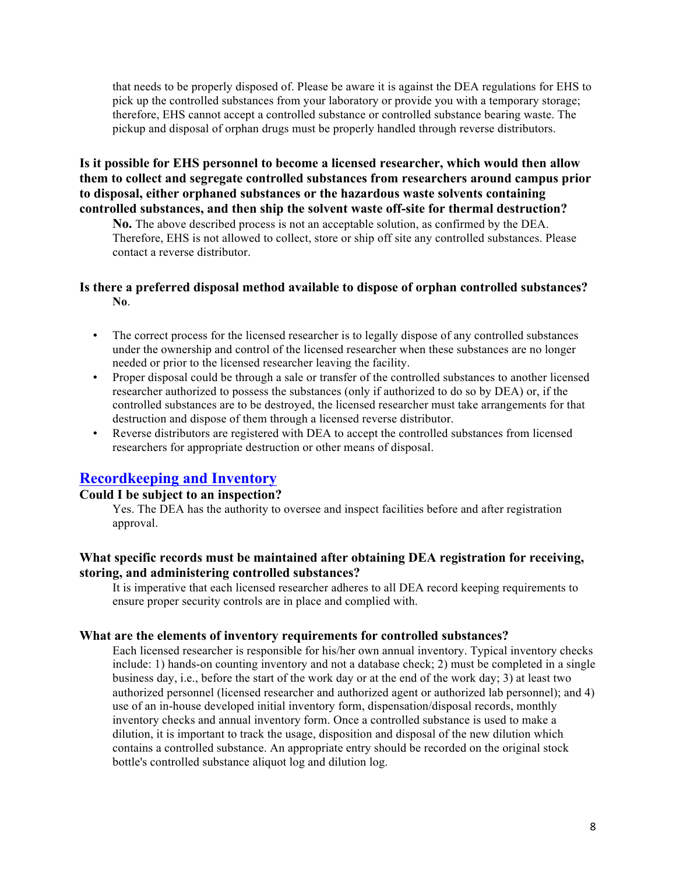that needs to be properly disposed of. Please be aware it is against the DEA regulations for EHS to pick up the controlled substances from your laboratory or provide you with a temporary storage; therefore, EHS cannot accept a controlled substance or controlled substance bearing waste. The pickup and disposal of orphan drugs must be properly handled through reverse distributors.

# **Is it possible for EHS personnel to become a licensed researcher, which would then allow them to collect and segregate controlled substances from researchers around campus prior to disposal, either orphaned substances or the hazardous waste solvents containing controlled substances, and then ship the solvent waste off-site for thermal destruction?**

**No.** The above described process is not an acceptable solution, as confirmed by the DEA. Therefore, EHS is not allowed to collect, store or ship off site any controlled substances. Please contact a reverse distributor.

# **Is there a preferred disposal method available to dispose of orphan controlled substances? No**.

- The correct process for the licensed researcher is to legally dispose of any controlled substances under the ownership and control of the licensed researcher when these substances are no longer needed or prior to the licensed researcher leaving the facility.
- Proper disposal could be through a sale or transfer of the controlled substances to another licensed researcher authorized to possess the substances (only if authorized to do so by DEA) or, if the controlled substances are to be destroyed, the licensed researcher must take arrangements for that destruction and dispose of them through a licensed reverse distributor.
- Reverse distributors are registered with DEA to accept the controlled substances from licensed researchers for appropriate destruction or other means of disposal.

# **Recordkeeping and Inventory**

#### **Could I be subject to an inspection?**

Yes. The DEA has the authority to oversee and inspect facilities before and after registration approval.

# **What specific records must be maintained after obtaining DEA registration for receiving, storing, and administering controlled substances?**

It is imperative that each licensed researcher adheres to all DEA record keeping requirements to ensure proper security controls are in place and complied with.

#### **What are the elements of inventory requirements for controlled substances?**

Each licensed researcher is responsible for his/her own annual inventory. Typical inventory checks include: 1) hands-on counting inventory and not a database check; 2) must be completed in a single business day, i.e., before the start of the work day or at the end of the work day; 3) at least two authorized personnel (licensed researcher and authorized agent or authorized lab personnel); and 4) use of an in-house developed initial inventory form, dispensation/disposal records, monthly inventory checks and annual inventory form. Once a controlled substance is used to make a dilution, it is important to track the usage, disposition and disposal of the new dilution which contains a controlled substance. An appropriate entry should be recorded on the original stock bottle's controlled substance aliquot log and dilution log.